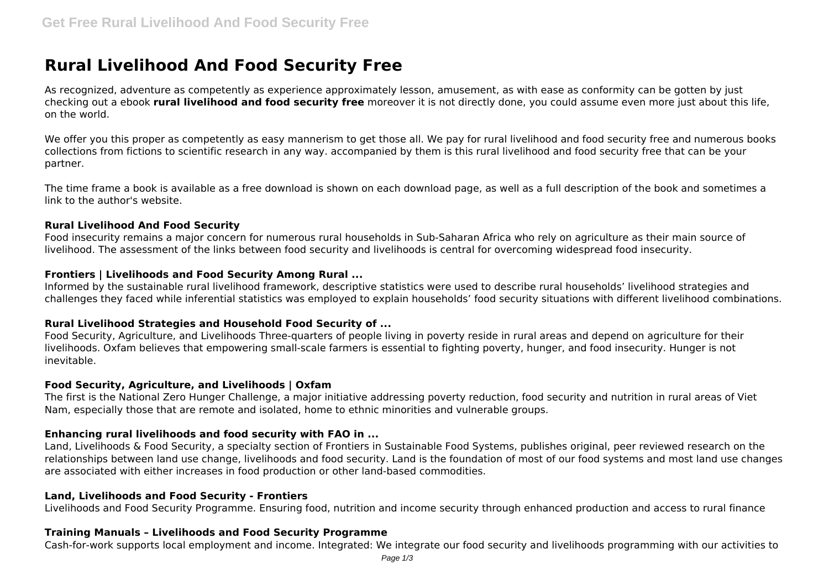# **Rural Livelihood And Food Security Free**

As recognized, adventure as competently as experience approximately lesson, amusement, as with ease as conformity can be gotten by just checking out a ebook **rural livelihood and food security free** moreover it is not directly done, you could assume even more just about this life, on the world.

We offer you this proper as competently as easy mannerism to get those all. We pay for rural livelihood and food security free and numerous books collections from fictions to scientific research in any way. accompanied by them is this rural livelihood and food security free that can be your partner.

The time frame a book is available as a free download is shown on each download page, as well as a full description of the book and sometimes a link to the author's website.

#### **Rural Livelihood And Food Security**

Food insecurity remains a major concern for numerous rural households in Sub-Saharan Africa who rely on agriculture as their main source of livelihood. The assessment of the links between food security and livelihoods is central for overcoming widespread food insecurity.

#### **Frontiers | Livelihoods and Food Security Among Rural ...**

Informed by the sustainable rural livelihood framework, descriptive statistics were used to describe rural households' livelihood strategies and challenges they faced while inferential statistics was employed to explain households' food security situations with different livelihood combinations.

## **Rural Livelihood Strategies and Household Food Security of ...**

Food Security, Agriculture, and Livelihoods Three-quarters of people living in poverty reside in rural areas and depend on agriculture for their livelihoods. Oxfam believes that empowering small-scale farmers is essential to fighting poverty, hunger, and food insecurity. Hunger is not inevitable.

#### **Food Security, Agriculture, and Livelihoods | Oxfam**

The first is the National Zero Hunger Challenge, a major initiative addressing poverty reduction, food security and nutrition in rural areas of Viet Nam, especially those that are remote and isolated, home to ethnic minorities and vulnerable groups.

#### **Enhancing rural livelihoods and food security with FAO in ...**

Land, Livelihoods & Food Security, a specialty section of Frontiers in Sustainable Food Systems, publishes original, peer reviewed research on the relationships between land use change, livelihoods and food security. Land is the foundation of most of our food systems and most land use changes are associated with either increases in food production or other land-based commodities.

#### **Land, Livelihoods and Food Security - Frontiers**

Livelihoods and Food Security Programme. Ensuring food, nutrition and income security through enhanced production and access to rural finance

#### **Training Manuals – Livelihoods and Food Security Programme**

Cash-for-work supports local employment and income. Integrated: We integrate our food security and livelihoods programming with our activities to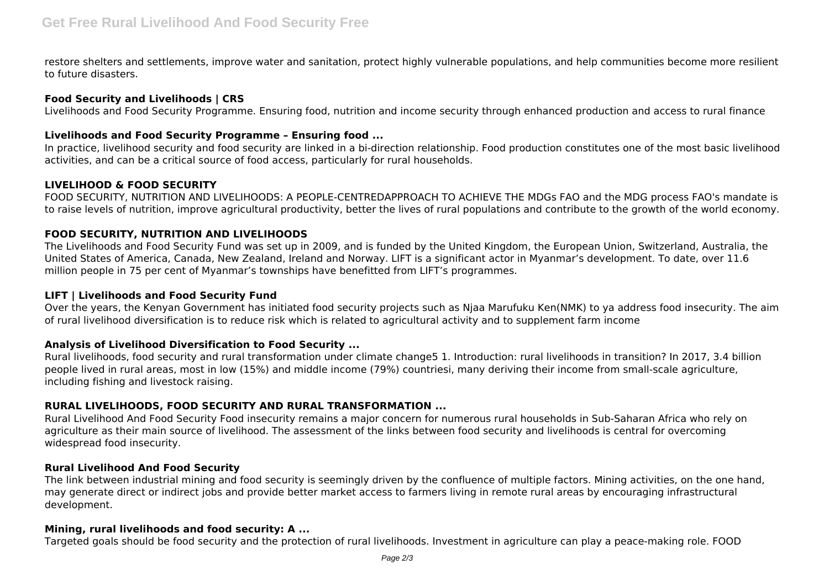restore shelters and settlements, improve water and sanitation, protect highly vulnerable populations, and help communities become more resilient to future disasters.

## **Food Security and Livelihoods | CRS**

Livelihoods and Food Security Programme. Ensuring food, nutrition and income security through enhanced production and access to rural finance

## **Livelihoods and Food Security Programme – Ensuring food ...**

In practice, livelihood security and food security are linked in a bi-direction relationship. Food production constitutes one of the most basic livelihood activities, and can be a critical source of food access, particularly for rural households.

## **LIVELIHOOD & FOOD SECURITY**

FOOD SECURITY, NUTRITION AND LIVELIHOODS: A PEOPLE-CENTREDAPPROACH TO ACHIEVE THE MDGs FAO and the MDG process FAO's mandate is to raise levels of nutrition, improve agricultural productivity, better the lives of rural populations and contribute to the growth of the world economy.

## **FOOD SECURITY, NUTRITION AND LIVELIHOODS**

The Livelihoods and Food Security Fund was set up in 2009, and is funded by the United Kingdom, the European Union, Switzerland, Australia, the United States of America, Canada, New Zealand, Ireland and Norway. LIFT is a significant actor in Myanmar's development. To date, over 11.6 million people in 75 per cent of Myanmar's townships have benefitted from LIFT's programmes.

#### **LIFT | Livelihoods and Food Security Fund**

Over the years, the Kenyan Government has initiated food security projects such as Njaa Marufuku Ken(NMK) to ya address food insecurity. The aim of rural livelihood diversification is to reduce risk which is related to agricultural activity and to supplement farm income

## **Analysis of Livelihood Diversification to Food Security ...**

Rural livelihoods, food security and rural transformation under climate change5 1. Introduction: rural livelihoods in transition? In 2017, 3.4 billion people lived in rural areas, most in low (15%) and middle income (79%) countriesi, many deriving their income from small-scale agriculture, including fishing and livestock raising.

## **RURAL LIVELIHOODS, FOOD SECURITY AND RURAL TRANSFORMATION ...**

Rural Livelihood And Food Security Food insecurity remains a major concern for numerous rural households in Sub-Saharan Africa who rely on agriculture as their main source of livelihood. The assessment of the links between food security and livelihoods is central for overcoming widespread food insecurity.

## **Rural Livelihood And Food Security**

The link between industrial mining and food security is seemingly driven by the confluence of multiple factors. Mining activities, on the one hand, may generate direct or indirect jobs and provide better market access to farmers living in remote rural areas by encouraging infrastructural development.

#### **Mining, rural livelihoods and food security: A ...**

Targeted goals should be food security and the protection of rural livelihoods. Investment in agriculture can play a peace-making role. FOOD